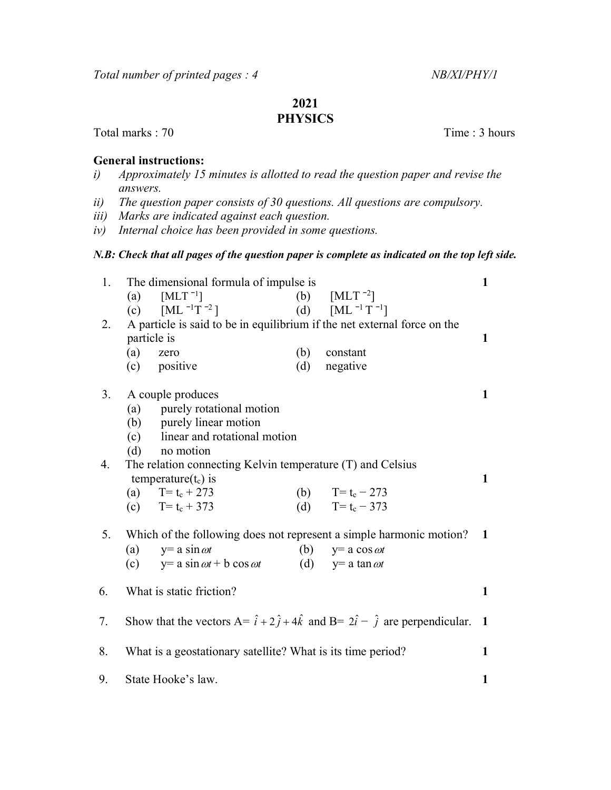## 2021

## **PHYSICS**

Total marks : 70 Time : 3 hours

## General instructions:

- i) Approximately 15 minutes is allotted to read the question paper and revise the answers.
- ii) The question paper consists of 30 questions. All questions are compulsory.
- iii) Marks are indicated against each question.
- iv) Internal choice has been provided in some questions.

## N.B: Check that all pages of the question paper is complete as indicated on the top left side.

| 1. | The dimensional formula of impulse is                                                                     |                                            |     |                         |  |  |
|----|-----------------------------------------------------------------------------------------------------------|--------------------------------------------|-----|-------------------------|--|--|
|    | (a)                                                                                                       | $[MLT^{-1}]$                               |     | (b) $[MLT^{-2}]$        |  |  |
|    | (c)                                                                                                       | $[ML^{-1}T^{-2}]$                          |     | (d) $[ML^{-1}T^{-1}]$   |  |  |
| 2. | A particle is said to be in equilibrium if the net external force on the                                  |                                            |     |                         |  |  |
|    | particle is<br>1                                                                                          |                                            |     |                         |  |  |
|    | (a)                                                                                                       | zero                                       | (b) | constant                |  |  |
|    |                                                                                                           | (c) positive                               | (d) | negative                |  |  |
| 3. | A couple produces                                                                                         |                                            |     |                         |  |  |
|    | (a) purely rotational motion                                                                              |                                            |     |                         |  |  |
|    | (b) purely linear motion                                                                                  |                                            |     |                         |  |  |
|    | (c) linear and rotational motion                                                                          |                                            |     |                         |  |  |
|    | (d)                                                                                                       | no motion                                  |     |                         |  |  |
| 4. | The relation connecting Kelvin temperature (T) and Celsius<br>temperature $(t_c)$ is<br>1                 |                                            |     |                         |  |  |
|    |                                                                                                           |                                            |     |                         |  |  |
|    |                                                                                                           | (a) $T = t_c + 273$                        |     | (b) $T = t_c - 273$     |  |  |
|    |                                                                                                           | (c) $T = t_c + 373$                        |     | (d) T= $t_c - 373$      |  |  |
|    |                                                                                                           |                                            |     |                         |  |  |
| 5. | Which of the following does not represent a simple harmonic motion? 1                                     |                                            |     |                         |  |  |
|    | (a)                                                                                                       | $y = a \sin \omega t$                      | (b) | $y=$ a cos $\omega t$   |  |  |
|    |                                                                                                           | (c) $y= a \sin \omega t + b \cos \omega t$ |     | (d) $y=a \tan \omega t$ |  |  |
| 6. | What is static friction?                                                                                  |                                            |     |                         |  |  |
|    |                                                                                                           |                                            |     |                         |  |  |
| 7. | Show that the vectors $A = \hat{i} + 2\hat{j} + 4\hat{k}$ and $B = 2\hat{i} - \hat{j}$ are perpendicular. |                                            |     |                         |  |  |
| 8. | What is a geostationary satellite? What is its time period?                                               |                                            |     |                         |  |  |
|    |                                                                                                           |                                            |     |                         |  |  |
| 9. | State Hooke's law.                                                                                        |                                            |     |                         |  |  |
|    |                                                                                                           |                                            |     |                         |  |  |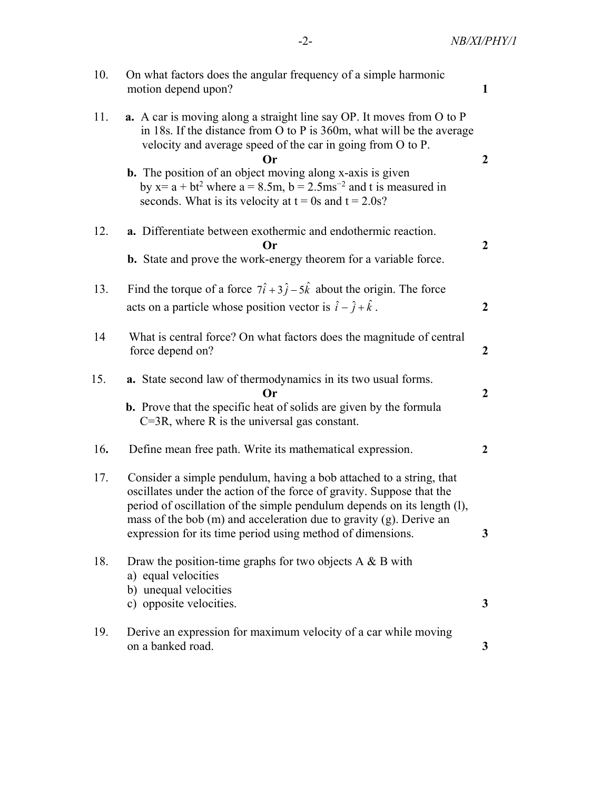| 10. | On what factors does the angular frequency of a simple harmonic<br>motion depend upon?                                                                                                                                                                                                                  |                  |  |  |
|-----|---------------------------------------------------------------------------------------------------------------------------------------------------------------------------------------------------------------------------------------------------------------------------------------------------------|------------------|--|--|
| 11. | <b>a.</b> A car is moving along a straight line say OP. It moves from O to P<br>in 18s. If the distance from $O$ to P is 360m, what will be the average<br>velocity and average speed of the car in going from O to P.<br><b>Or</b><br><b>b.</b> The position of an object moving along x-axis is given | $\overline{2}$   |  |  |
|     | by $x = a + bt^2$ where $a = 8.5m$ , $b = 2.5ms^{-2}$ and t is measured in<br>seconds. What is its velocity at $t = 0$ s and $t = 2.0$ s?                                                                                                                                                               |                  |  |  |
| 12. | a. Differentiate between exothermic and endothermic reaction.<br>Or                                                                                                                                                                                                                                     |                  |  |  |
|     | <b>b.</b> State and prove the work-energy theorem for a variable force.                                                                                                                                                                                                                                 |                  |  |  |
| 13. | Find the torque of a force $7\hat{i} + 3\hat{j} - 5\hat{k}$ about the origin. The force                                                                                                                                                                                                                 |                  |  |  |
|     | acts on a particle whose position vector is $\hat{i} - \hat{j} + \hat{k}$ .<br>$\boldsymbol{2}$                                                                                                                                                                                                         |                  |  |  |
| 14  | What is central force? On what factors does the magnitude of central<br>force depend on?                                                                                                                                                                                                                | $\boldsymbol{2}$ |  |  |
| 15. | a. State second law of thermodynamics in its two usual forms.<br>Or                                                                                                                                                                                                                                     | $\boldsymbol{2}$ |  |  |
|     | <b>b.</b> Prove that the specific heat of solids are given by the formula<br>$C=3R$ , where R is the universal gas constant.                                                                                                                                                                            |                  |  |  |
| 16. | Define mean free path. Write its mathematical expression.                                                                                                                                                                                                                                               | $\overline{2}$   |  |  |
| 17. | Consider a simple pendulum, having a bob attached to a string, that<br>oscillates under the action of the force of gravity. Suppose that the<br>period of oscillation of the simple pendulum depends on its length (1),                                                                                 |                  |  |  |
|     | mass of the bob $(m)$ and acceleration due to gravity $(g)$ . Derive an<br>expression for its time period using method of dimensions.                                                                                                                                                                   | 3                |  |  |
| 18. | Draw the position-time graphs for two objects $A \& B$ with<br>a) equal velocities<br>b) unequal velocities                                                                                                                                                                                             |                  |  |  |
|     | c) opposite velocities.                                                                                                                                                                                                                                                                                 | 3                |  |  |
| 19. | Derive an expression for maximum velocity of a car while moving<br>on a banked road.                                                                                                                                                                                                                    | 3                |  |  |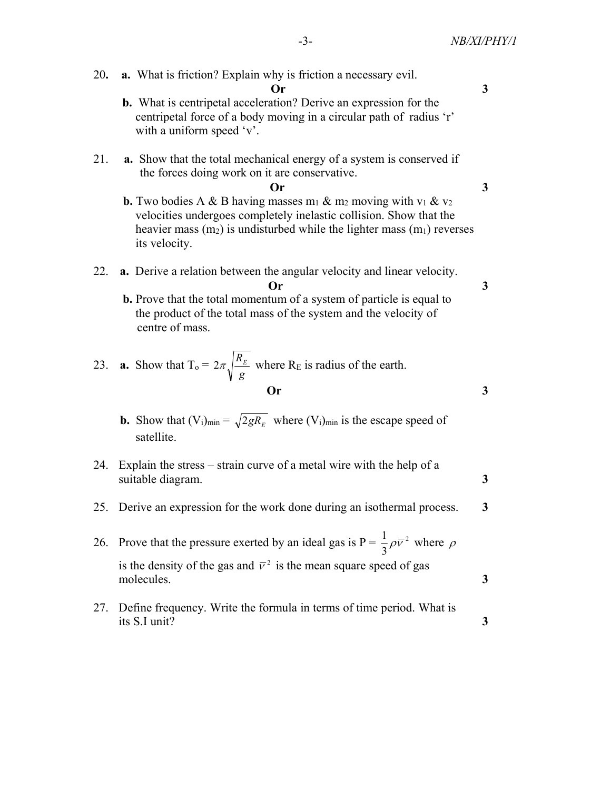20. a. What is friction? Explain why is friction a necessary evil. Or 3 b. What is centripetal acceleration? Derive an expression for the centripetal force of a body moving in a circular path of radius 'r' with a uniform speed 'v'. 21. a. Show that the total mechanical energy of a system is conserved if the forces doing work on it are conservative.  $\overline{O}r$  3 **b.** Two bodies A & B having masses  $m_1$  &  $m_2$  moving with  $v_1$  &  $v_2$  velocities undergoes completely inelastic collision. Show that the heavier mass  $(m_2)$  is undisturbed while the lighter mass  $(m_1)$  reverses its velocity. 22. a. Derive a relation between the angular velocity and linear velocity.  $\mathbf{O}_r$  3 b. Prove that the total momentum of a system of particle is equal to the product of the total mass of the system and the velocity of centre of mass. 23. **a.** Show that  $T_0 =$ g  $2\pi\sqrt{\frac{R_E}{r}}$  where R<sub>E</sub> is radius of the earth. Or 3 **b.** Show that  $(V_i)_{min} = \sqrt{2gR_E}$  where  $(V_i)_{min}$  is the escape speed of satellite. 24. Explain the stress – strain curve of a metal wire with the help of a suitable diagram. 3 25. Derive an expression for the work done during an isothermal process. 3 26. Prove that the pressure exerted by an ideal gas is  $P = \frac{1}{2}\rho \bar{v}^2$ 3  $\frac{1}{2}\rho \overline{v}^2$  where  $\rho$ is the density of the gas and  $\bar{v}^2$  is the mean square speed of gas molecules. 3 27. Define frequency. Write the formula in terms of time period. What is its S.I unit?